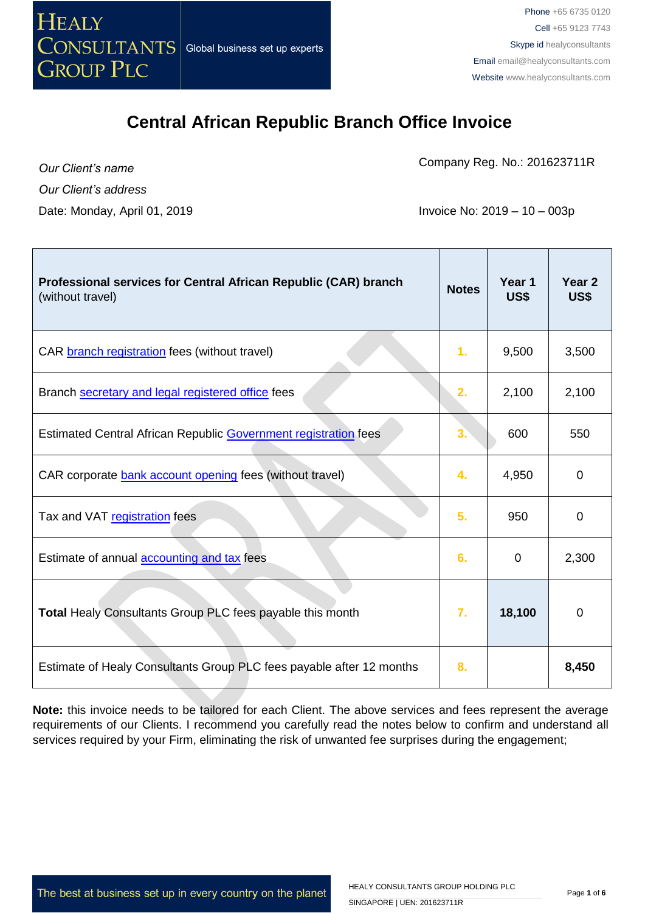

Company Reg. No.: 201623711R

*Our Client's name Our Client's address*

Date: Monday, April 01, 2019 **Invoice No: 2019 – 10 – 003p** 

| Professional services for Central African Republic (CAR) branch<br>(without travel) | <b>Notes</b> | Year 1<br>US\$ | Year <sub>2</sub><br>US\$ |
|-------------------------------------------------------------------------------------|--------------|----------------|---------------------------|
| CAR <b>branch registration</b> fees (without travel)                                | 1.           | 9,500          | 3,500                     |
| Branch secretary and legal registered office fees                                   | 2.           | 2,100          | 2,100                     |
| <b>Estimated Central African Republic Government registration fees</b>              | 3.           | 600            | 550                       |
| CAR corporate bank account opening fees (without travel)                            | 4.           | 4,950          | $\mathbf 0$               |
| Tax and VAT registration fees                                                       | 5.           | 950            | $\mathbf 0$               |
| Estimate of annual accounting and tax fees                                          | 6.           | 0              | 2,300                     |
| Total Healy Consultants Group PLC fees payable this month                           | 7.           | 18,100         | $\mathbf 0$               |
| Estimate of Healy Consultants Group PLC fees payable after 12 months                | 8.           |                | 8,450                     |

**Note:** this invoice needs to be tailored for each Client. The above services and fees represent the average requirements of our Clients. I recommend you carefully read the notes below to confirm and understand all services required by your Firm, eliminating the risk of unwanted fee surprises during the engagement;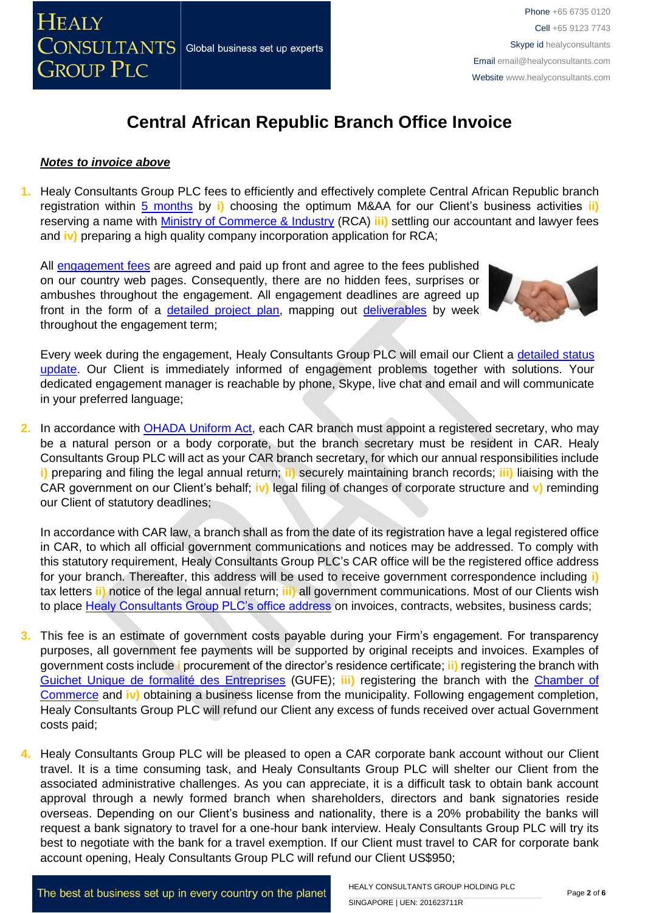#### *Notes to invoice above*

**1.** Healy Consultants Group PLC fees to efficiently and effectively complete Central African Republic branch registration within [5 months](http://www.healyconsultants.com/central-african-republic-company-registration/fees-timelines/) by **i)** choosing the optimum M&AA for our Client's business activities **ii)** reserving a name with [Ministry of Commerce & Industry](http://www.minco-rca.org/) (RCA) **iii)** settling our accountant and lawyer fees and **iv**) preparing a high quality company incorporation application for RCA;

All [engagement fees](http://www.healyconsultants.com/company-registration-fees/) are agreed and paid up front and agree to the fees published on our country web pages. Consequently, there are no hidden fees, surprises or ambushes throughout the engagement. All engagement deadlines are agreed up front in the form of a [detailed project plan,](http://www.healyconsultants.com/index-important-links/example-project-plan/) mapping out [deliverables](http://www.healyconsultants.com/deliverables-to-our-clients/) by week throughout the engagement term;



Every week during the engagement, Healy Consultants Group PLC will email our Client a [detailed status](http://www.healyconsultants.com/index-important-links/weekly-engagement-status-email/)  [update.](http://www.healyconsultants.com/index-important-links/weekly-engagement-status-email/) Our Client is immediately informed of engagement problems together with solutions. Your dedicated engagement manager is reachable by phone, Skype, live chat and email and will communicate in your preferred language;

**2.** In accordance with [OHADA Uniform Act,](http://www.juriscope.org/uploads/pdf/ohada/OHADA_en/societe-gb.pdf) each CAR branch must appoint a registered secretary, who may be a natural person or a body corporate, but the branch secretary must be resident in CAR. Healy Consultants Group PLC will act as your CAR branch secretary, for which our annual responsibilities include **i)** preparing and filing the legal annual return; **ii)** securely maintaining branch records; **iii)** liaising with the CAR government on our Client's behalf; **iv)** legal filing of changes of corporate structure and **v)** reminding our Client of statutory deadlines;

In accordance with CAR law, a branch shall as from the date of its registration have a legal registered office in CAR, to which all official government communications and notices may be addressed. To comply with this statutory requirement, Healy Consultants Group PLC's CAR office will be the registered office address for your branch. Thereafter, this address will be used to receive government correspondence including **i)** tax letters **ii)** notice of the legal annual return; **iii)** all government communications. Most of our Clients wish to place [Healy Consultants Group PLC's office address](http://www.healyconsultants.com/corporate-outsourcing-services/company-secretary-and-legal-registered-office/) on invoices, contracts, websites, business cards;

- **3.** This fee is an estimate of government costs payable during your Firm's engagement. For transparency purposes, all government fee payments will be supported by original receipts and invoices. Examples of government costs include **i** procurement of the director's residence certificate; **ii)** registering the branch with [Guichet Unique de formalité des Entreprises](http://gufe-rca.org/) (GUFE); **iii)** registering the branch with the [Chamber of](http://www.minco-rca.org/)  [Commerce](http://www.minco-rca.org/) and **iv)** obtaining a business license from the municipality. Following engagement completion, Healy Consultants Group PLC will refund our Client any excess of funds received over actual Government costs paid;
- **4.** Healy Consultants Group PLC will be pleased to open a CAR corporate bank account without our Client travel. It is a time consuming task, and Healy Consultants Group PLC will shelter our Client from the associated administrative challenges. As you can appreciate, it is a difficult task to obtain bank account approval through a newly formed branch when shareholders, directors and bank signatories reside overseas. Depending on our Client's business and nationality, there is a 20% probability the banks will request a bank signatory to travel for a one-hour bank interview. Healy Consultants Group PLC will try its best to negotiate with the bank for a travel exemption. If our Client must travel to CAR for corporate bank account opening, Healy Consultants Group PLC will refund our Client US\$950;

The best at business set up in every country on the planet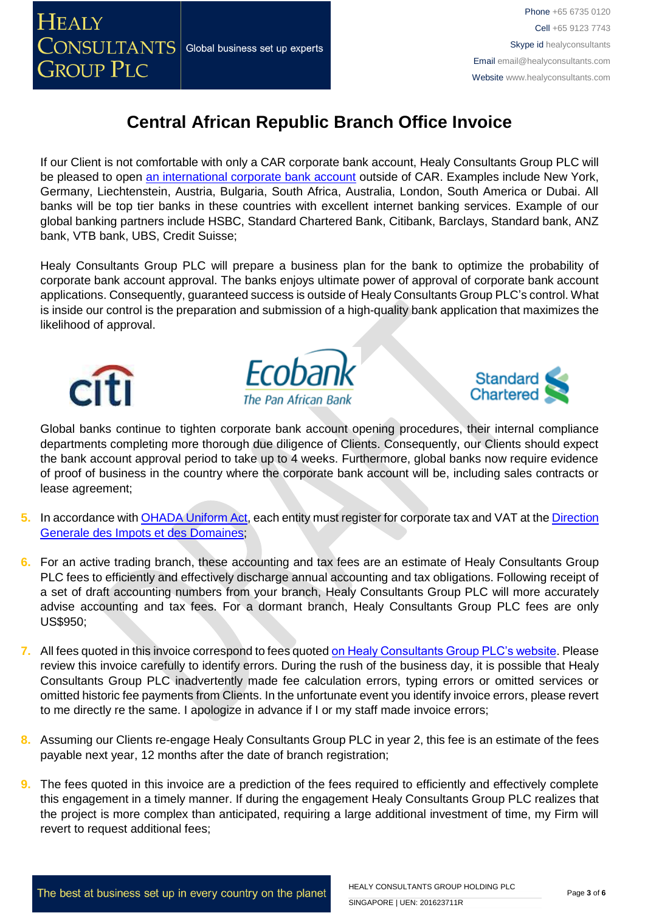

If our Client is not comfortable with only a CAR corporate bank account, Healy Consultants Group PLC will be pleased to open [an international corporate bank account](http://www.healyconsultants.com/international-banking/) outside of CAR. Examples include New York, Germany, Liechtenstein, Austria, Bulgaria, South Africa, Australia, London, South America or Dubai. All banks will be top tier banks in these countries with excellent internet banking services. Example of our global banking partners include HSBC, Standard Chartered Bank, Citibank, Barclays, Standard bank, ANZ bank, VTB bank, UBS, Credit Suisse;

Healy Consultants Group PLC will prepare a business plan for the bank to optimize the probability of corporate bank account approval. The banks enjoys ultimate power of approval of corporate bank account applications. Consequently, guaranteed success is outside of Healy Consultants Group PLC's control. What is inside our control is the preparation and submission of a high-quality bank application that maximizes the likelihood of approval.







Global banks continue to tighten corporate bank account opening procedures, their internal compliance departments completing more thorough due diligence of Clients. Consequently, our Clients should expect the bank account approval period to take up to 4 weeks. Furthermore, global banks now require evidence of proof of business in the country where the corporate bank account will be, including sales contracts or lease agreement;

- **5.** In accordance with [OHADA Uniform Act,](http://www.juriscope.org/uploads/pdf/ohada/OHADA_en/societe-gb.pdf) each entity must register for corporate tax and VAT at the [Direction](http://www.minco-rca.org/)  [Generale des Impots et des Domaines;](http://www.minco-rca.org/)
- **6.** For an active trading branch, these [accounting and tax](http://www.healyconsultants.com/central-african-republic-company-registration/accounting-legal/) fees are an estimate of Healy Consultants Group PLC fees to efficiently and effectively discharge annual accounting and tax obligations. Following receipt of a set of draft accounting numbers from your branch, Healy Consultants Group PLC will more accurately advise accounting and tax fees. For a dormant branch, Healy Consultants Group PLC fees are only US\$950;
- **7.** All fees quoted in this invoice correspond to fees quoted [on Healy Consultants Group PLC's website.](http://www.healyconsultants.com/company-registration-fees/) Please review this invoice carefully to identify errors. During the rush of the business day, it is possible that Healy Consultants Group PLC inadvertently made fee calculation errors, typing errors or omitted services or omitted historic fee payments from Clients. In the unfortunate event you identify invoice errors, please revert to me directly re the same. I apologize in advance if I or my staff made invoice errors;
- **8.** Assuming our Clients re-engage Healy Consultants Group PLC in year 2, this fee is an estimate of the fees payable next year, 12 months after the date of branch registration;
- **9.** The fees quoted in this invoice are a prediction of the fees required to efficiently and effectively complete this engagement in a timely manner. If during the engagement Healy Consultants Group PLC realizes that the project is more complex than anticipated, requiring a large additional investment of time, my Firm will revert to request additional fees;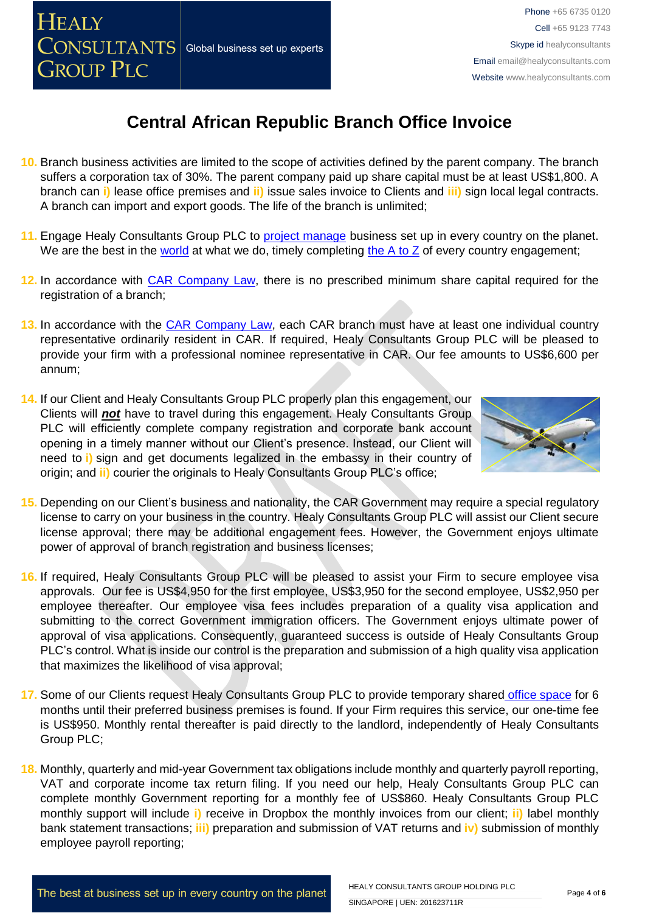

- **10.** Branch business activities are limited to the scope of activities defined by the parent company. The branch suffers a corporation tax of 30%. The parent company paid up share capital must be at least US\$1,800. A branch can **i)** lease office premises and **ii)** issue sales invoice to Clients and **iii)** sign local legal contracts. A branch can import and export goods. The life of the branch is unlimited;
- **11.** Engage Healy Consultants Group PLC to [project manage](http://www.healyconsultants.com/project-manage-engagements/) business set up in every country on the planet. We are the best in the [world](http://www.healyconsultants.com/best-in-the-world/) at what we do, timely completing the  $A$  to  $Z$  of every country engagement;
- **12.** In accordance with CAR [Company Law,](http://www.ohadalegis.com/anglais/austescomgb_1_100.htm) there is no prescribed minimum share capital required for the registration of a branch;
- 13. In accordance with the **CAR Company Law**, each CAR branch must have at least one individual country representative ordinarily resident in CAR. If required, Healy Consultants Group PLC will be pleased to provide your firm with a professional nominee representative in CAR. Our fee amounts to US\$6,600 per annum;
- **14.** If our Client and Healy Consultants Group PLC properly plan this engagement, our Clients will *not* have to travel during this engagement. Healy Consultants Group PLC will efficiently complete company registration and corporate bank account opening in a timely manner without our Client's presence. Instead, our Client will need to **i)** sign and get documents legalized in the embassy in their country of origin; and **ii)** courier the originals to Healy Consultants Group PLC's office;

**HEALY** 

**GROUP PLC** 

**CONSULTANTS** Global business set up experts



- **15.** Depending on our Client's business and nationality, the CAR Government may require a special regulatory license to carry on your business in the country. Healy Consultants Group PLC will assist our Client secure license approval; there may be additional engagement fees. However, the Government enjoys ultimate power of approval of branch registration and business licenses;
- **16.** If required, Healy Consultants Group PLC will be pleased to assist your Firm to secure employee visa approvals. Our fee is US\$4,950 for the first employee, US\$3,950 for the second employee, US\$2,950 per employee thereafter. Our employee visa fees includes preparation of a quality visa application and submitting to the correct Government immigration officers. The Government enjoys ultimate power of approval of visa applications. Consequently, guaranteed success is outside of Healy Consultants Group PLC's control. What is inside our control is the preparation and submission of a high quality visa application that maximizes the likelihood of visa approval;
- **17.** Some of our Clients request Healy Consultants Group PLC to provide temporary shared [office space](http://www.healyconsultants.com/virtual-office/) for 6 months until their preferred business premises is found. If your Firm requires this service, our one-time fee is US\$950. Monthly rental thereafter is paid directly to the landlord, independently of Healy Consultants Group PLC;
- **18.** Monthly, quarterly and mid-year Government tax obligations include monthly and quarterly payroll reporting, VAT and corporate income tax return filing. If you need our help, Healy Consultants Group PLC can complete monthly Government reporting for a monthly fee of US\$860. Healy Consultants Group PLC monthly support will include **i)** receive in Dropbox the monthly invoices from our client; **ii)** label monthly bank statement transactions; **iii)** preparation and submission of VAT returns and **iv)** submission of monthly employee payroll reporting;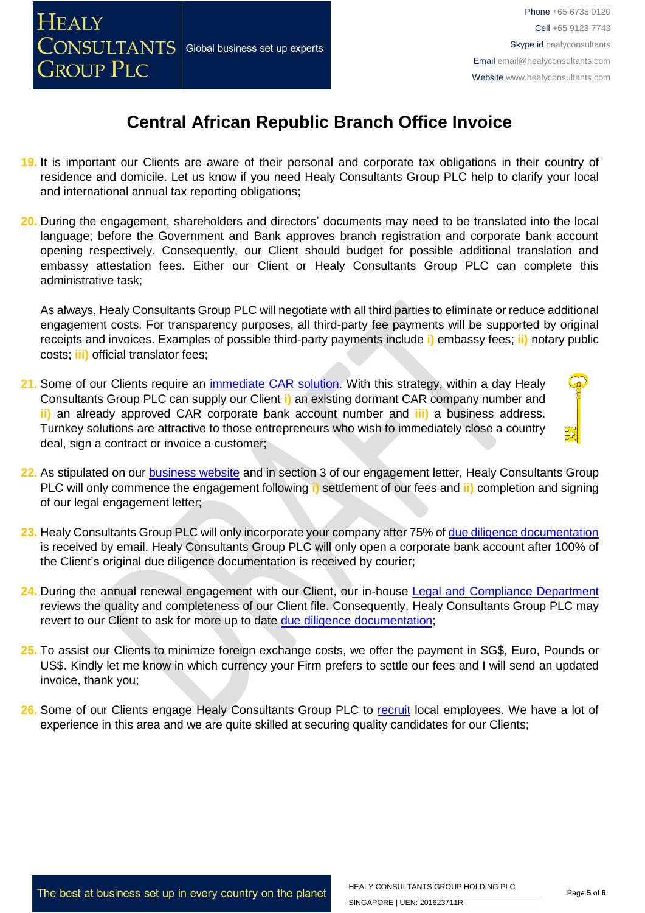

- **19.** It is important our Clients are aware of their personal and corporate tax obligations in their country of residence and domicile. Let us know if you need Healy Consultants Group PLC help to clarify your local and international annual tax reporting obligations;
- **20.** During the engagement, shareholders and directors' documents may need to be translated into the local language; before the Government and Bank approves branch registration and corporate bank account opening respectively. Consequently, our Client should budget for possible additional translation and embassy attestation fees. Either our Client or Healy Consultants Group PLC can complete this administrative task;

As always, Healy Consultants Group PLC will negotiate with all third parties to eliminate or reduce additional engagement costs. For transparency purposes, all third-party fee payments will be supported by original receipts and invoices. Examples of possible third-party payments include **i)** embassy fees; **ii)** notary public costs; **iii)** official translator fees;

- 21. Some of our Clients require an *immediate CAR solution*. With this strategy, within a day Healy Consultants Group PLC can supply our Client **i)** an existing dormant CAR company number and **ii)** an already approved CAR corporate bank account number and **iii)** a business address. Turnkey solutions are attractive to those entrepreneurs who wish to immediately close a country deal, sign a contract or invoice a customer;
- **22.** As stipulated on our [business website](http://www.healyconsultants.com/) and in section 3 of our engagement letter, Healy Consultants Group PLC will only commence the engagement following **i)** settlement of our fees and **ii)** completion and signing of our legal engagement letter;
- **23.** Healy Consultants Group PLC will only incorporate your company after 75% of [due diligence documentation](http://www.healyconsultants.com/due-diligence/) is received by email. Healy Consultants Group PLC will only open a corporate bank account after 100% of the Client's original due diligence documentation is received by courier;
- 24. During the annual renewal engagement with our Client, our in-house [Legal and Compliance Department](http://www.healyconsultants.com/about-us/key-personnel/cai-xin-profile/) reviews the quality and completeness of our Client file. Consequently, Healy Consultants Group PLC may revert to our Client to ask for more up to date [due diligence documentation;](http://www.healyconsultants.com/due-diligence/)
- **25.** To assist our Clients to minimize foreign exchange costs, we offer the payment in SG\$, Euro, Pounds or US\$. Kindly let me know in which currency your Firm prefers to settle our fees and I will send an updated invoice, thank you;
- 26. Some of our Clients engage Healy Consultants Group PLC to [recruit](http://www.healyconsultants.com/corporate-outsourcing-services/how-we-help-our-clients-recruit-quality-employees/) local employees. We have a lot of experience in this area and we are quite skilled at securing quality candidates for our Clients;